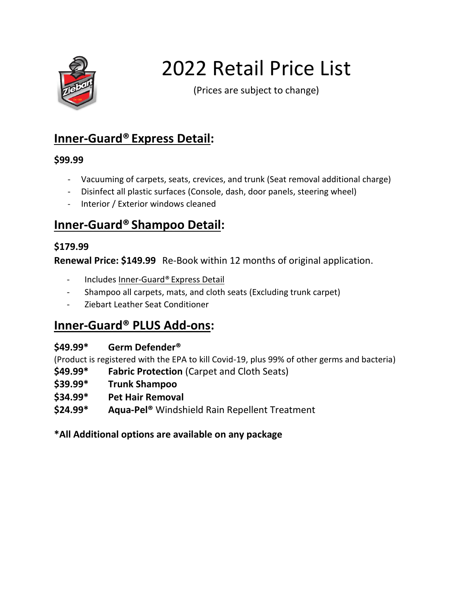

# 2022 Retail Price List

(Prices are subject to change)

## **Inner-Guard® Express Detail:**

#### **\$99.99**

- Vacuuming of carpets, seats, crevices, and trunk (Seat removal additional charge)
- Disinfect all plastic surfaces (Console, dash, door panels, steering wheel)
- Interior / Exterior windows cleaned

## **Inner-Guard® Shampoo Detail:**

#### **\$179.99**

**Renewal Price: \$149.99** Re-Book within 12 months of original application.

- Includes Inner-Guard® Express Detail
- Shampoo all carpets, mats, and cloth seats (Excluding trunk carpet)
- [Ziebart Leather Seat Conditioner](https://www.ziebart.com/auto-care-services/auto-detailing/leather-conditioner)

## **Inner-Guard® PLUS Add-ons:**

#### **\$49.99\* Germ Defender®**

(Product is registered with the EPA to kill Covid-19, plus 99% of other germs and bacteria)

- **\$49.99\* Fabric Protection** (Carpet and Cloth Seats)
- **\$39.99\* Trunk Shampoo**
- **\$34.99\* Pet Hair Removal**
- **\$24.99\* Aqua-Pel®** Windshield Rain Repellent Treatment

**\*All Additional options are available on any package**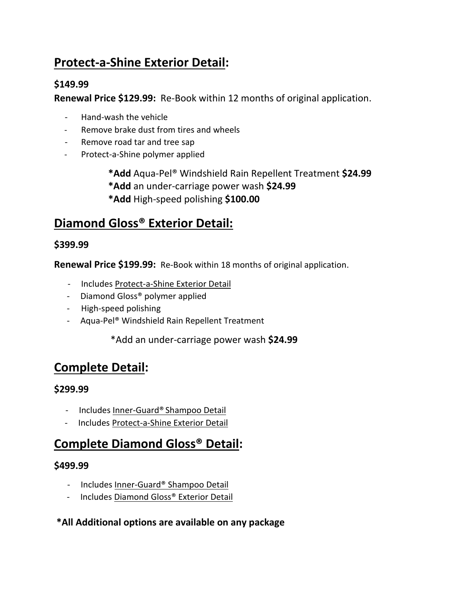## **Protect-a-Shine Exterior Detail:**

#### **\$149.99**

**Renewal Price \$129.99:** Re-Book within 12 months of original application.

- Hand-wash the vehicle
- Remove brake dust from tires and wheels
- Remove road tar and tree sap
- Protect-a-Shine polymer applied

**\*Add** Aqua-Pel® Windshield Rain Repellent Treatment **\$24.99 \*Add** an under-carriage power wash **\$24.99 \*Add** High-speed polishing **\$100.00**

## **Diamond Gloss® Exterior Detail:**

#### **\$399.99**

**Renewal Price \$199.99:** Re-Book within 18 months of original application.

- Includes Protect-a-Shine Exterior Detail
- Diamond Gloss® polymer applied
- High-speed polishing
- Aqua-Pel® Windshield Rain Repellent Treatment

\*Add an under-carriage power wash **\$24.99**

## **Complete Detail:**

#### **\$299.99**

- Includes Inner-Guard® Shampoo Detail
- Includes Protect-a-Shine Exterior Detail

### **Complete Diamond Gloss® Detail:**

#### **\$499.99**

- Includes Inner-Guard® Shampoo Detail
- Includes Diamond Gloss® Exterior Detail

#### **\*All Additional options are available on any package**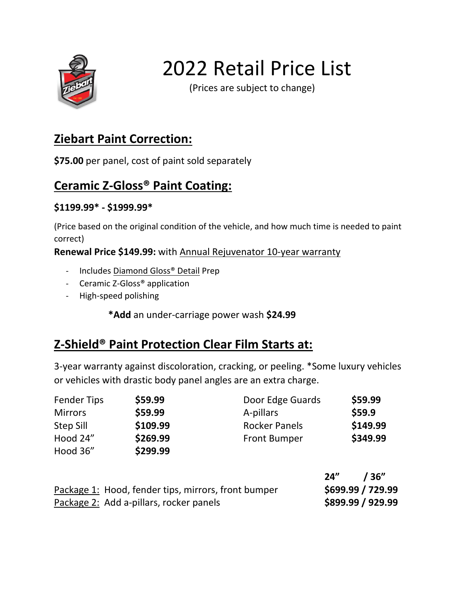

## 2022 Retail Price List

(Prices are subject to change)

## **Ziebart Paint Correction:**

**\$75.00** per panel, cost of paint sold separately

## **Ceramic Z-Gloss® Paint Coating:**

#### **\$1199.99\* - \$1999.99\***

(Price based on the original condition of the vehicle, and how much time is needed to paint correct)

**Renewal Price \$149.99:** with Annual Rejuvenator 10-year warranty

- Includes Diamond Gloss® Detail Prep
- Ceramic Z-Gloss® application
- High-speed polishing

**\*Add** an under-carriage power wash **\$24.99**

## **Z-Shield® Paint Protection Clear Film Starts at:**

3-year warranty against discoloration, cracking, or peeling. \*Some luxury vehicles or vehicles with drastic body panel angles are an extra charge.

| <b>Fender Tips</b> | \$59.99  | Door Edge Guards     | \$59.99  |
|--------------------|----------|----------------------|----------|
| <b>Mirrors</b>     | \$59.99  | A-pillars            | \$59.9   |
| <b>Step Sill</b>   | \$109.99 | <b>Rocker Panels</b> | \$149.99 |
| Hood 24"           | \$269.99 | <b>Front Bumper</b>  | \$349.99 |
| Hood 36"           | \$299.99 |                      |          |

|                                                     | 24"<br>/ 36"      |
|-----------------------------------------------------|-------------------|
| Package 1: Hood, fender tips, mirrors, front bumper | \$699.99 / 729.99 |
| Package 2: Add a-pillars, rocker panels             | \$899.99 / 929.99 |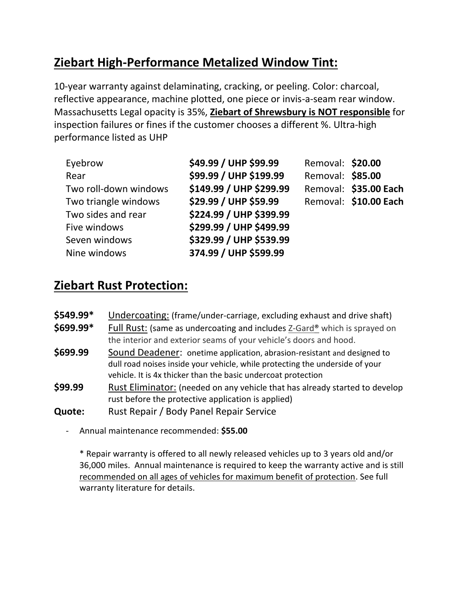## **Ziebart High-Performance Metalized Window Tint:**

10-year warranty against delaminating, cracking, or peeling. Color: charcoal, reflective appearance, machine plotted, one piece or invis-a-seam rear window. Massachusetts Legal opacity is 35%, **Ziebart of Shrewsbury is NOT responsible** for inspection failures or fines if the customer chooses a different %. Ultra-high performance listed as UHP

| Eyebrow               | \$49.99 / UHP \$99.99   | Removal: \$20.00 |                       |
|-----------------------|-------------------------|------------------|-----------------------|
| Rear                  | \$99.99 / UHP \$199.99  | Removal: \$85.00 |                       |
| Two roll-down windows | \$149.99 / UHP \$299.99 |                  | Removal: \$35.00 Each |
| Two triangle windows  | \$29.99 / UHP \$59.99   |                  | Removal: \$10.00 Each |
| Two sides and rear    | \$224.99 / UHP \$399.99 |                  |                       |
| Five windows          | \$299.99 / UHP \$499.99 |                  |                       |
| Seven windows         | \$329.99 / UHP \$539.99 |                  |                       |
| Nine windows          | 374.99 / UHP \$599.99   |                  |                       |

## **Ziebart Rust Protection:**

| $$549.99*$ | Undercoating: (frame/under-carriage, excluding exhaust and drive shaft)                                                                                                                                                  |
|------------|--------------------------------------------------------------------------------------------------------------------------------------------------------------------------------------------------------------------------|
| \$699.99*  | Full Rust: (same as undercoating and includes Z-Gard® which is sprayed on<br>the interior and exterior seams of your vehicle's doors and hood.                                                                           |
| \$699.99   | Sound Deadener: onetime application, abrasion-resistant and designed to<br>dull road noises inside your vehicle, while protecting the underside of your<br>vehicle. It is 4x thicker than the basic undercoat protection |
| \$99.99    | Rust Eliminator: (needed on any vehicle that has already started to develop<br>rust before the protective application is applied)                                                                                        |
| Quote:     | Rust Repair / Body Panel Repair Service                                                                                                                                                                                  |

- Annual maintenance recommended: **\$55.00**

\* Repair warranty is offered to all newly released vehicles up to 3 years old and/or 36,000 miles. Annual maintenance is required to keep the warranty active and is still recommended on all ages of vehicles for maximum benefit of protection. See full warranty literature for details.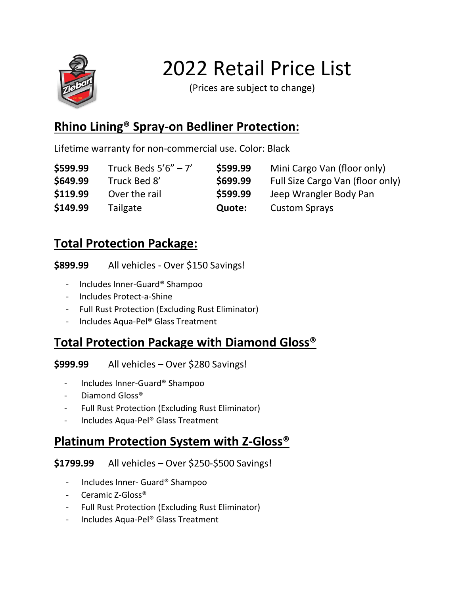

2022 Retail Price List

(Prices are subject to change)

## **Rhino Lining® Spray-on Bedliner Protection:**

Lifetime warranty for non-commercial use. Color: Black

| \$599.99 | Truck Beds $5'6'' - 7'$ | \$599.99 | Mini Cargo Van (floor only)      |
|----------|-------------------------|----------|----------------------------------|
| \$649.99 | Truck Bed 8'            | \$699.99 | Full Size Cargo Van (floor only) |
| \$119.99 | Over the rail           | \$599.99 | Jeep Wrangler Body Pan           |
| \$149.99 | Tailgate                | Quote:   | <b>Custom Sprays</b>             |

## **Total Protection Package:**

**\$899.99** All vehicles - Over \$150 Savings!

- Includes Inner-Guard® Shampoo
- Includes Protect-a-Shine
- Full Rust Protection (Excluding Rust Eliminator)
- Includes Aqua-Pel® Glass Treatment

## **Total Protection Package with Diamond Gloss®**

**\$999.99** All vehicles – Over \$280 Savings!

- Includes Inner-Guard® Shampoo
- Diamond Gloss®
- Full Rust Protection (Excluding Rust Eliminator)
- Includes Aqua-Pel® Glass Treatment

## **Platinum Protection System with Z-Gloss®**

**\$1799.99** All vehicles – Over \$250-\$500 Savings!

- Includes Inner- Guard® Shampoo
- Ceramic Z-Gloss®
- Full Rust Protection (Excluding Rust Eliminator)
- Includes Aqua-Pel® Glass Treatment